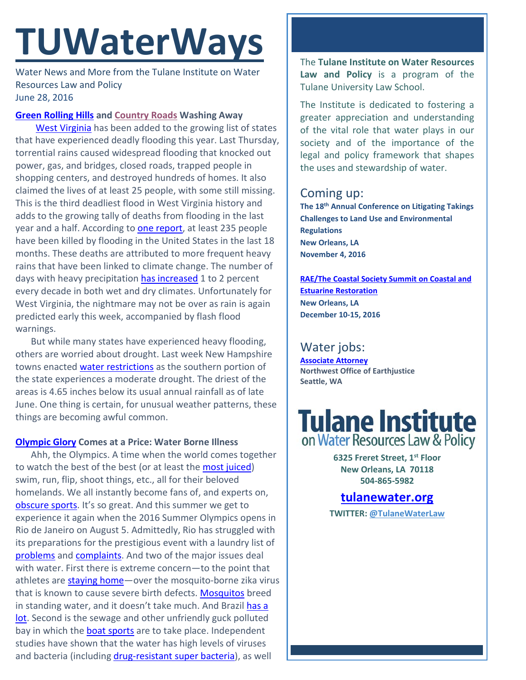# **TUWaterWays**

Water News and More from the Tulane Institute on Water Resources Law and Policy June 28, 2016

### **[Green Rolling Hills](https://www.youtube.com/watch?v=2Wp2cmL-gEM) and [Country Roads](https://www.youtube.com/watch?v=I3IUYTUa1o8) Washing Away**

 [West Virginia](https://weather.com/news/news/west-virginia-deadly-flooding-disaster-impacts) has been added to the growing list of states that have experienced deadly flooding this year. Last Thursday, torrential rains caused widespread flooding that knocked out power, gas, and bridges, closed roads, trapped people in shopping centers, and destroyed hundreds of homes. It also claimed the lives of at least 25 people, with some still missing. This is the third deadliest flood in West Virginia history and adds to the growing tally of deaths from flooding in the last year and a half. According to [one report,](https://weather.com/storms/severe/news/flood-deaths-united-states-near-200) at least 235 people have been killed by flooding in the United States in the last 18 months. These deaths are attributed to more frequent heavy rains that have been linked to climate change. The number of days with heavy precipitation [has increased](https://weather.com/news/climate/news/global-warming-heavy-rainfall-climate-central) 1 to 2 percent every decade in both wet and dry climates. Unfortunately for West Virginia, the nightmare may not be over as rain is again predicted early this week, accompanied by flash flood warnings.

But while many states have experienced heavy flooding, others are worried about drought. Last week New Hampshire towns enacte[d water restrictions](http://www.wmur.com/weather/stormwatch/moderate-drought-reported-in-southern-new-hampshire/40191986) as the southern portion of the state experiences a moderate drought. The driest of the areas is 4.65 inches below its usual annual rainfall as of late June. One thing is certain, for unusual weather patterns, these things are becoming awful common.

### **[Olympic Glory](https://www.youtube.com/watch?v=MCqUESCoB1w) Comes at a Price: Water Borne Illness**

Ahh, the Olympics. A time when the world comes together to watch the best of the best (or at least the [most juiced\)](http://abcnews.go.com/International/ioc-upholds-olympic-ban-russias-track-field-athletes/story?id=40010177) swim, run, flip, shoot things, etc., all for their beloved homelands. We all instantly become fans of, and experts on, [obscure sports.](http://www.sbnation.com/london-olympics-2012/2012/7/27/3178000/summer-olympics-events-sports-gymnastics-trampoline) It's so great. And this summer we get to experience it again when the 2016 Summer Olympics opens in Rio de Janeiro on August 5. Admittedly, Rio has struggled with its preparations for the prestigious event with a laundry list of [problems](http://www.businessinsider.com/laundry-list-of-problems-facing-rio-just-seven-months-before-olympics-2016-1) and [complaints.](http://abcnews.go.com/International/brazil-faces-slew-problems-ahead-olympics-opening-ceremony/story?id=39072617) And two of the major issues deal with water. First there is extreme concern—to the point that athletes are **staying home**—over the mosquito-borne zika virus that is known to cause severe birth defects. [Mosquitos](http://malheurvector.com/mosquito-faqs) breed in standing water, and it doesn't take much. And Brazil has a [lot.](https://www.theguardian.com/world/2016/feb/07/brazil-rich-zika-virus-poor) Second is the sewage and other unfriendly guck polluted bay in which th[e boat sports](http://www.usatoday.com/story/sports/olympics/2016/06/24/olympic-sailing-will-be-on-dirty-water-with-scenic-backdrop/86341118/) are to take place. Independent studies have shown that the water has high levels of viruses and bacteria (including [drug-resistant super bacteria\)](https://www.washingtonpost.com/news/early-lead/wp/2016/06/11/report-studies-reveal-drug-resistant-super-bacteria-in-rio-olympics-water-venues/), as well

The **Tulane Institute on Water Resources Law and Policy** is a program of the Tulane University Law School.

The Institute is dedicated to fostering a greater appreciation and understanding of the vital role that water plays in our society and of the importance of the legal and policy framework that shapes the uses and stewardship of water.

# Coming up:

**The 18th Annual Conference on Litigating Takings Challenges to Land Use and Environmental Regulations New Orleans, LA November 4, 2016**

**[RAE/The Coastal Society Summit on Coastal and](https://www.estuaries.org/images/NOLA_2016/2016-Summit-CFP_FINAL-011516.pdf)  [Estuarine Restoration](https://www.estuaries.org/images/NOLA_2016/2016-Summit-CFP_FINAL-011516.pdf) New Orleans, LA December 10-15, 2016**

# Water jobs:

**[Associate Attorney](http://tulanewater.us11.list-manage1.com/track/click?u=b87c517a041f161e5ba9b4abd&id=93be59c274&e=1061668570) Northwest Office of Earthjustice Seattle, WA**

# **Tulane Institute** on Water Resources Law & Policy

**6325 Freret Street, 1st Floor New Orleans, LA 70118 504-865-5982** 

# **tulanewater.org**

**TWITTER: [@TulaneWaterLaw](http://www.twitter.com/TulaneWaterLaw)**